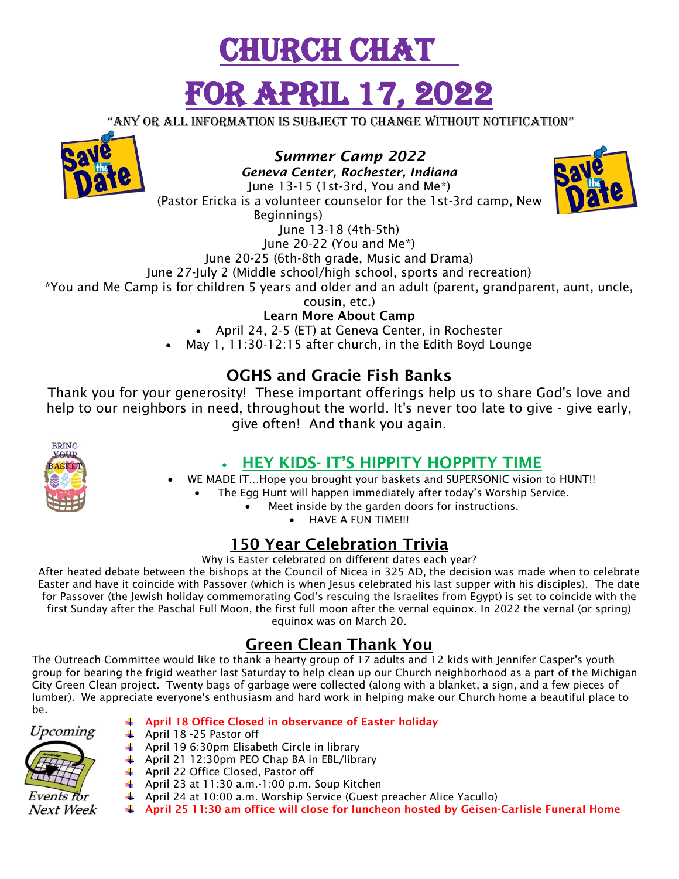# URCH CHAT FOR APRIL 17, 20

"any or all information is subject to change without notification"



*Summer Camp 2022* 

*Geneva Center, Rochester, Indiana* June 13-15 (1st-3rd, You and Me\*) (Pastor Ericka is a volunteer counselor for the 1st-3rd camp, New Beginnings) June 13-18 (4th-5th)



June 20-25 (6th-8th grade, Music and Drama)

June 27-July 2 (Middle school/high school, sports and recreation)

\*You and Me Camp is for children 5 years and older and an adult (parent, grandparent, aunt, uncle,

cousin, etc.)

**Learn More About Camp**

April 24, 2-5 (ET) at Geneva Center, in Rochester

May 1, 11:30-12:15 after church, in the Edith Boyd Lounge

#### **OGHS and Gracie Fish Banks**

Thank you for your generosity! These important offerings help us to share God's love and help to our neighbors in need, throughout the world. It's never too late to give - give early, give often! And thank you again.



#### **HEY KIDS- IT'S HIPPITY HOPPITY TIME**

- WE MADE IT...Hope you brought your baskets and SUPERSONIC vision to HUNT!!
	- The Egg Hunt will happen immediately after today's Worship Service.
		- Meet inside by the garden doors for instructions.
			- HAVE A FUN TIME!!!

### **150 Year Celebration Trivia**

Why is Easter celebrated on different dates each year?

After heated debate between the bishops at the Council of Nicea in 325 AD, the decision was made when to celebrate Easter and have it coincide with Passover (which is when Jesus celebrated his last supper with his disciples). The date for Passover (the Jewish holiday commemorating God's rescuing the Israelites from Egypt) is set to coincide with the first Sunday after the Paschal Full Moon, the first full moon after the vernal equinox. In 2022 the vernal (or spring) equinox was on March 20.

### **Green Clean Thank You**

The Outreach Committee would like to thank a hearty group of 17 adults and 12 kids with Jennifer Casper's youth group for bearing the frigid weather last Saturday to help clean up our Church neighborhood as a part of the Michigan City Green Clean project. Twenty bags of garbage were collected (along with a blanket, a sign, and a few pieces of lumber). We appreciate everyone's enthusiasm and hard work in helping make our Church home a beautiful place to be.



#### **April 18 Office Closed in observance of Easter holiday**

- April 18 -25 Pastor off
	- April 19 6:30pm Elisabeth Circle in library
	- April 21 12:30pm PEO Chap BA in EBL/library
	- April 22 Office Closed, Pastor off
	- April 23 at 11:30 a.m.-1:00 p.m. Soup Kitchen
	- April 24 at 10:00 a.m. Worship Service (Guest preacher Alice Yacullo)
- **April 25 11:30 am office will close for luncheon hosted by Geisen-Carlisle Funeral Home**

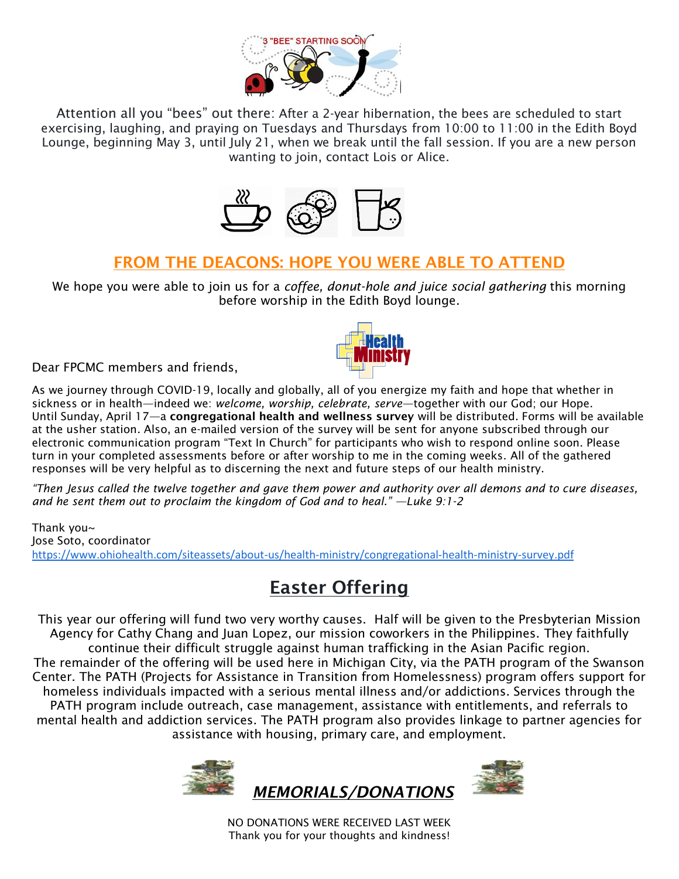

Attention all you "bees" out there: After a 2-year hibernation, the bees are scheduled to start exercising, laughing, and praying on Tuesdays and Thursdays from 10:00 to 11:00 in the Edith Boyd Lounge, beginning May 3, until July 21, when we break until the fall session. If you are a new person wanting to join, contact Lois or Alice.



#### **FROM THE DEACONS: HOPE YOU WERE ABLE TO ATTEND**

We hope you were able to join us for a *coffee, donut-hole and juice social gathering* this morning before worship in the Edith Boyd lounge.

Dear FPCMC members and friends,

As we journey through COVID-19, locally and globally, all of you energize my faith and hope that whether in sickness or in health—indeed we: *welcome, worship, celebrate, serve*—together with our God; our Hope. Until Sunday, April 17—a **congregational health and wellness survey** will be distributed. Forms will be available at the usher station. Also, an e-mailed version of the survey will be sent for anyone subscribed through our electronic communication program "Text In Church" for participants who wish to respond online soon. Please turn in your completed assessments before or after worship to me in the coming weeks. All of the gathered responses will be very helpful as to discerning the next and future steps of our health ministry.

*"Then Jesus called the twelve together and gave them power and authority over all demons and to cure diseases, and he sent them out to proclaim the kingdom of God and to heal." —Luke 9:1-2*

Thank you~ Jose Soto, coordinator <https://www.ohiohealth.com/siteassets/about-us/health-ministry/congregational-health-ministry-survey.pdf>

## **Easter Offering**

This year our offering will fund two very worthy causes. Half will be given to the Presbyterian Mission Agency for Cathy Chang and Juan Lopez, our mission coworkers in the Philippines. They faithfully continue their difficult struggle against human trafficking in the Asian Pacific region. The remainder of the offering will be used here in Michigan City, via the PATH program of the Swanson Center. The PATH (Projects for Assistance in Transition from Homelessness) program offers support for homeless individuals impacted with a serious mental illness and/or addictions. Services through the PATH program include outreach, case management, assistance with entitlements, and referrals to mental health and addiction services. The PATH program also provides linkage to partner agencies for assistance with housing, primary care, and employment.





NO DONATIONS WERE RECEIVED LAST WEEK Thank you for your thoughts and kindness!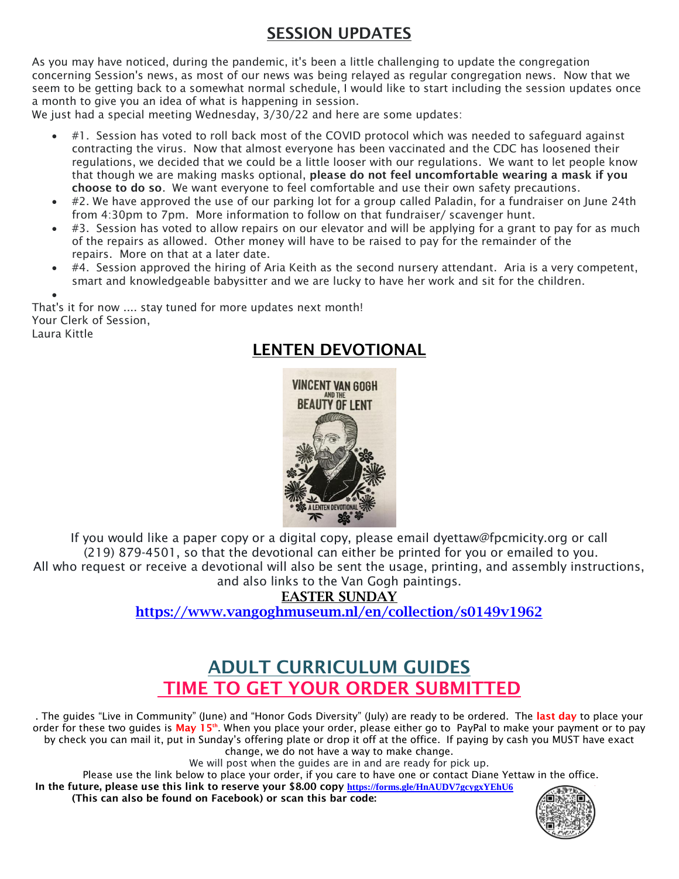### **SESSION UPDATES**

As you may have noticed, during the pandemic, it's been a little challenging to update the congregation concerning Session's news, as most of our news was being relayed as regular congregation news. Now that we seem to be getting back to a somewhat normal schedule, I would like to start including the session updates once a month to give you an idea of what is happening in session.

We just had a special meeting Wednesday, 3/30/22 and here are some updates:

- #1. Session has voted to roll back most of the COVID protocol which was needed to safequard against contracting the virus. Now that almost everyone has been vaccinated and the CDC has loosened their regulations, we decided that we could be a little looser with our regulations. We want to let people know that though we are making masks optional, **please do not feel uncomfortable wearing a mask if you choose to do so**. We want everyone to feel comfortable and use their own safety precautions.
- #2. We have approved the use of our parking lot for a group called Paladin, for a fundraiser on June 24th from 4:30pm to 7pm. More information to follow on that fundraiser/ scavenger hunt.
- #3. Session has voted to allow repairs on our elevator and will be applying for a grant to pay for as much of the repairs as allowed. Other money will have to be raised to pay for the remainder of the repairs. More on that at a later date.
- #4. Session approved the hiring of Aria Keith as the second nursery attendant. Aria is a very competent, smart and knowledgeable babysitter and we are lucky to have her work and sit for the children.

 $\bullet$ That's it for now .... stay tuned for more updates next month! Your Clerk of Session, Laura Kittle

## **LENTEN DEVOTIONAL**



If you would like a paper copy or a digital copy, please email dyettaw@fpcmicity.org or call (219) 879-4501, so that the devotional can either be printed for you or emailed to you. All who request or receive a devotional will also be sent the usage, printing, and assembly instructions, and also links to the Van Gogh paintings.

**EASTER SUNDAY**

**<https://www.vangoghmuseum.nl/en/collection/s0149v1962>**

## **ADULT CURRICULUM GUIDES TIME TO GET YOUR ORDER SUBMITTED**

. The guides "Live in Community" (June) and "Honor Gods Diversity" (July) are ready to be ordered. The **last day** to place your order for these two guides is **May 15th**. When you place your order, please either go to PayPal to make your payment or to pay by check you can mail it, put in Sunday's offering plate or drop it off at the office. If paying by cash you MUST have exact change, we do not have a way to make change.

We will post when the guides are in and are ready for pick up.

Please use the link below to place your order, if you care to have one or contact Diane Yettaw in the office.

**In the future, please use this link to reserve your \$8.00 copy <https://forms.gle/HnAUDV7gcygxYEhU6> (This can also be found on Facebook) or scan this bar code:**